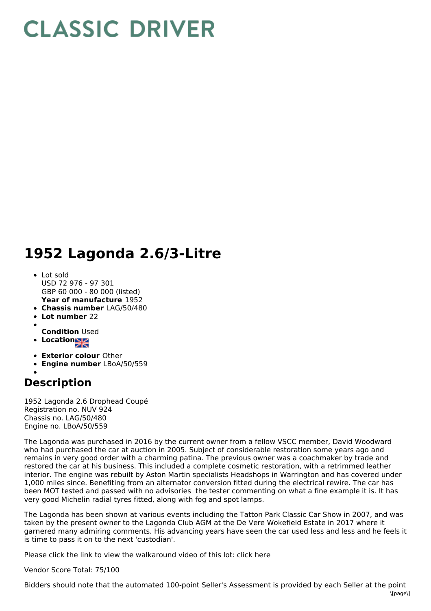## **CLASSIC DRIVER**

## **1952 Lagonda 2.6/3-Litre**

- **Year of manufacture** 1952 Lot sold USD 72 976 - 97 301 GBP 60 000 - 80 000 (listed)
- **Chassis number** LAG/50/480
- **Lot number** 22
- **Condition** Used
- **Location**
- 
- **Exterior colour** Other
- **Engine number** LBoA/50/559

## **Description**

1952 Lagonda 2.6 Drophead Coupé Registration no. NUV 924 Chassis no. LAG/50/480 Engine no. LBoA/50/559

The Lagonda was purchased in 2016 by the current owner from a fellow VSCC member, David Woodward who had purchased the car at auction in 2005. Subject of considerable restoration some years ago and remains in very good order with a charming patina. The previous owner was a coachmaker by trade and restored the car at his business. This included a complete cosmetic restoration, with a retrimmed leather interior. The engine was rebuilt by Aston Martin specialists Headshops in Warrington and has covered under 1,000 miles since. Benefiting from an alternator conversion fitted during the electrical rewire. The car has been MOT tested and passed with no advisories the tester commenting on what a fine example it is. It has very good Michelin radial tyres fitted, along with fog and spot lamps.

The Lagonda has been shown at various events including the Tatton Park Classic Car Show in 2007, and was taken by the present owner to the Lagonda Club AGM at the De Vere Wokefield Estate in 2017 where it garnered many admiring comments. His advancing years have seen the car used less and less and he feels it is time to pass it on to the next 'custodian'.

Please click the link to view the walkaround video of this lot: click here

Vendor Score Total: 75/100

Bidders should note that the automated 100-point Seller's Assessment is provided by each Seller at the point  $\[\text{I}{\text{P}}\]$